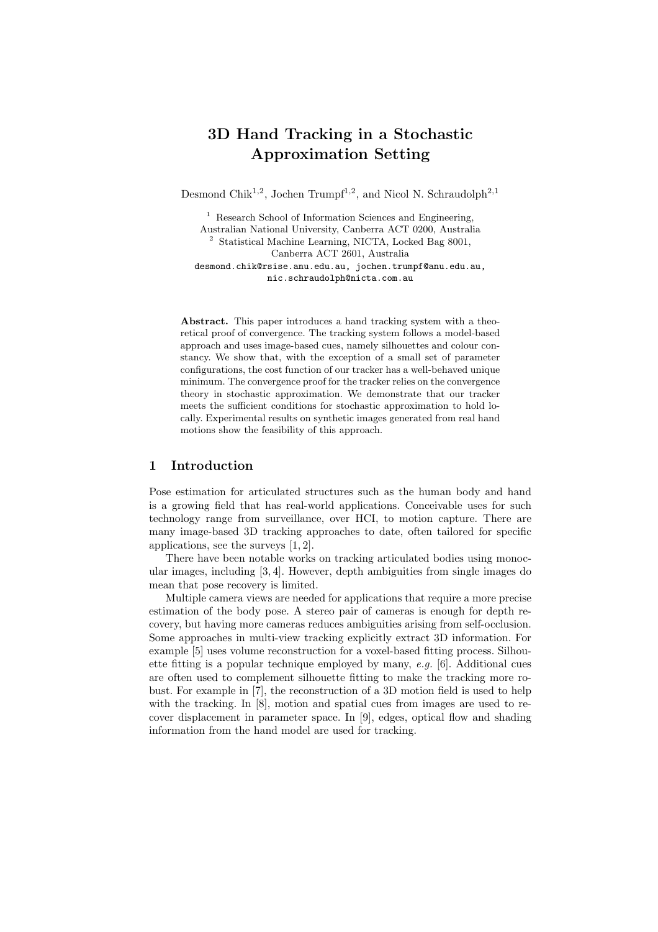# 3D Hand Tracking in a Stochastic Approximation Setting

Desmond Chik<sup>1,2</sup>, Jochen Trumpf<sup>1,2</sup>, and Nicol N. Schraudolph<sup>2,1</sup>

<sup>1</sup> Research School of Information Sciences and Engineering, Australian National University, Canberra ACT 0200, Australia <sup>2</sup> Statistical Machine Learning, NICTA, Locked Bag 8001, Canberra ACT 2601, Australia desmond.chik@rsise.anu.edu.au, jochen.trumpf@anu.edu.au, nic.schraudolph@nicta.com.au

Abstract. This paper introduces a hand tracking system with a theoretical proof of convergence. The tracking system follows a model-based approach and uses image-based cues, namely silhouettes and colour constancy. We show that, with the exception of a small set of parameter configurations, the cost function of our tracker has a well-behaved unique minimum. The convergence proof for the tracker relies on the convergence theory in stochastic approximation. We demonstrate that our tracker meets the sufficient conditions for stochastic approximation to hold locally. Experimental results on synthetic images generated from real hand motions show the feasibility of this approach.

## 1 Introduction

Pose estimation for articulated structures such as the human body and hand is a growing field that has real-world applications. Conceivable uses for such technology range from surveillance, over HCI, to motion capture. There are many image-based 3D tracking approaches to date, often tailored for specific applications, see the surveys [1, 2].

There have been notable works on tracking articulated bodies using monocular images, including [3, 4]. However, depth ambiguities from single images do mean that pose recovery is limited.

Multiple camera views are needed for applications that require a more precise estimation of the body pose. A stereo pair of cameras is enough for depth recovery, but having more cameras reduces ambiguities arising from self-occlusion. Some approaches in multi-view tracking explicitly extract 3D information. For example [5] uses volume reconstruction for a voxel-based fitting process. Silhouette fitting is a popular technique employed by many,  $e.g.$  [6]. Additional cues are often used to complement silhouette fitting to make the tracking more robust. For example in [7], the reconstruction of a 3D motion field is used to help with the tracking. In [8], motion and spatial cues from images are used to recover displacement in parameter space. In [9], edges, optical flow and shading information from the hand model are used for tracking.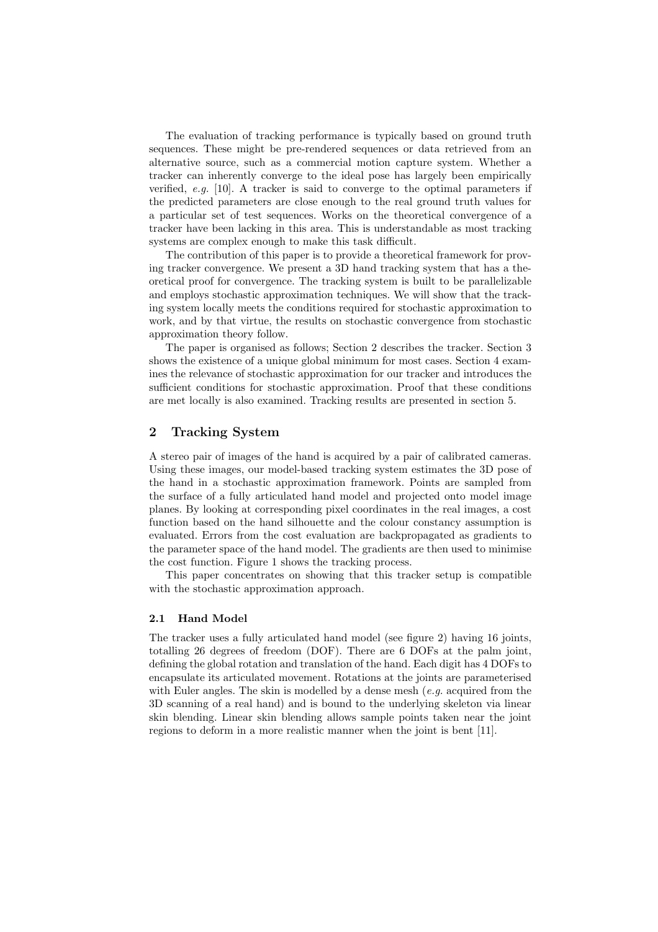The evaluation of tracking performance is typically based on ground truth sequences. These might be pre-rendered sequences or data retrieved from an alternative source, such as a commercial motion capture system. Whether a tracker can inherently converge to the ideal pose has largely been empirically verified, e.g.  $[10]$ . A tracker is said to converge to the optimal parameters if the predicted parameters are close enough to the real ground truth values for a particular set of test sequences. Works on the theoretical convergence of a tracker have been lacking in this area. This is understandable as most tracking systems are complex enough to make this task difficult.

The contribution of this paper is to provide a theoretical framework for proving tracker convergence. We present a 3D hand tracking system that has a theoretical proof for convergence. The tracking system is built to be parallelizable and employs stochastic approximation techniques. We will show that the tracking system locally meets the conditions required for stochastic approximation to work, and by that virtue, the results on stochastic convergence from stochastic approximation theory follow.

The paper is organised as follows; Section 2 describes the tracker. Section 3 shows the existence of a unique global minimum for most cases. Section 4 examines the relevance of stochastic approximation for our tracker and introduces the sufficient conditions for stochastic approximation. Proof that these conditions are met locally is also examined. Tracking results are presented in section 5.

# 2 Tracking System

A stereo pair of images of the hand is acquired by a pair of calibrated cameras. Using these images, our model-based tracking system estimates the 3D pose of the hand in a stochastic approximation framework. Points are sampled from the surface of a fully articulated hand model and projected onto model image planes. By looking at corresponding pixel coordinates in the real images, a cost function based on the hand silhouette and the colour constancy assumption is evaluated. Errors from the cost evaluation are backpropagated as gradients to the parameter space of the hand model. The gradients are then used to minimise the cost function. Figure 1 shows the tracking process.

This paper concentrates on showing that this tracker setup is compatible with the stochastic approximation approach.

#### 2.1 Hand Model

The tracker uses a fully articulated hand model (see figure 2) having 16 joints, totalling 26 degrees of freedom (DOF). There are 6 DOFs at the palm joint, defining the global rotation and translation of the hand. Each digit has 4 DOFs to encapsulate its articulated movement. Rotations at the joints are parameterised with Euler angles. The skin is modelled by a dense mesh  $(e.g.$  acquired from the 3D scanning of a real hand) and is bound to the underlying skeleton via linear skin blending. Linear skin blending allows sample points taken near the joint regions to deform in a more realistic manner when the joint is bent [11].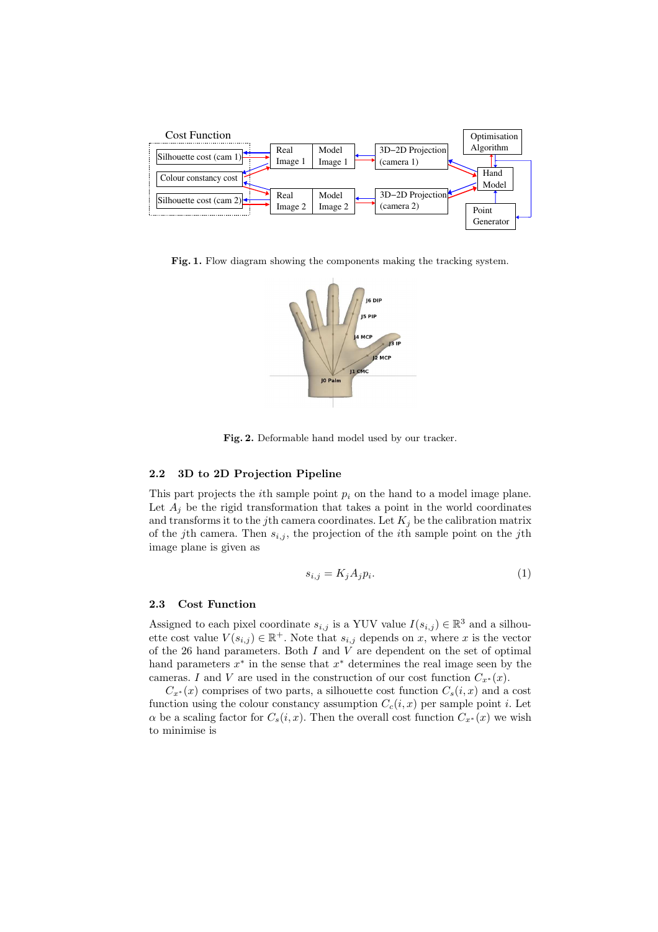

Fig. 1. Flow diagram showing the components making the tracking system.



Fig. 2. Deformable hand model used by our tracker.

#### 2.2 3D to 2D Projection Pipeline

This part projects the *i*th sample point  $p_i$  on the hand to a model image plane. Let  $A_j$  be the rigid transformation that takes a point in the world coordinates and transforms it to the j<sup>th</sup> camera coordinates. Let  $K_j$  be the calibration matrix of the jth camera. Then  $s_{i,j}$ , the projection of the *i*th sample point on the jth image plane is given as

$$
s_{i,j} = K_j A_j p_i. \tag{1}
$$

#### 2.3 Cost Function

Assigned to each pixel coordinate  $s_{i,j}$  is a YUV value  $I(s_{i,j}) \in \mathbb{R}^3$  and a silhouette cost value  $V(s_{i,j}) \in \mathbb{R}^+$ . Note that  $s_{i,j}$  depends on x, where x is the vector of the 26 hand parameters. Both  $I$  and  $V$  are dependent on the set of optimal hand parameters  $x^*$  in the sense that  $x^*$  determines the real image seen by the cameras. I and V are used in the construction of our cost function  $C_{x^*}(x)$ .

 $C_{x^*}(x)$  comprises of two parts, a silhouette cost function  $C_s(i, x)$  and a cost function using the colour constancy assumption  $C_c(i, x)$  per sample point i. Let  $\alpha$  be a scaling factor for  $C_s(i, x)$ . Then the overall cost function  $C_{x^*}(x)$  we wish to minimise is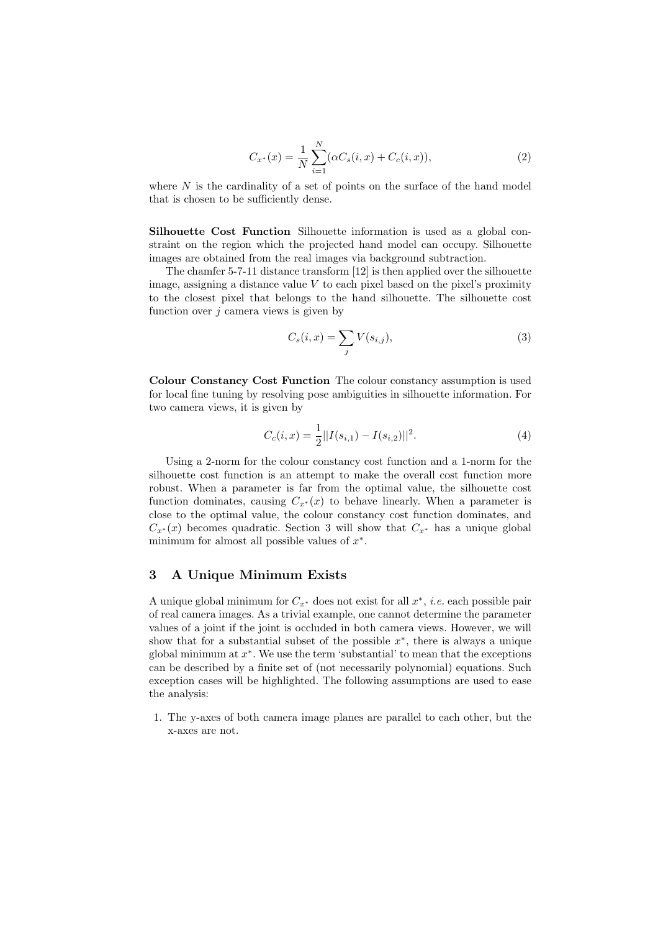$$
C_{x^*}(x) = \frac{1}{N} \sum_{i=1}^{N} (\alpha C_s(i, x) + C_c(i, x)),
$$
\n(2)

where  $N$  is the cardinality of a set of points on the surface of the hand model that is chosen to be sufficiently dense.

Silhouette Cost Function Silhouette information is used as a global constraint on the region which the projected hand model can occupy. Silhouette images are obtained from the real images via background subtraction.

The chamfer 5-7-11 distance transform [12] is then applied over the silhouette image, assigning a distance value  $V$  to each pixel based on the pixel's proximity to the closest pixel that belongs to the hand silhouette. The silhouette cost function over  $i$  camera views is given by

$$
C_s(i,x) = \sum_j V(s_{i,j}),\tag{3}
$$

Colour Constancy Cost Function The colour constancy assumption is used for local fine tuning by resolving pose ambiguities in silhouette information. For two camera views, it is given by

$$
C_c(i,x) = \frac{1}{2} ||I(s_{i,1}) - I(s_{i,2})||^2.
$$
\n(4)

Using a 2-norm for the colour constancy cost function and a 1-norm for the silhouette cost function is an attempt to make the overall cost function more robust. When a parameter is far from the optimal value, the silhouette cost function dominates, causing  $C_{x*}(x)$  to behave linearly. When a parameter is close to the optimal value, the colour constancy cost function dominates, and  $C_{x*}(x)$  becomes quadratic. Section 3 will show that  $C_{x*}$  has a unique global minimum for almost all possible values of  $x^*$ .

# 3 A Unique Minimum Exists

A unique global minimum for  $C_{x^*}$  does not exist for all  $x^*$ , *i.e.* each possible pair of real camera images. As a trivial example, one cannot determine the parameter values of a joint if the joint is occluded in both camera views. However, we will show that for a substantial subset of the possible  $x^*$ , there is always a unique global minimum at  $x^*$ . We use the term 'substantial' to mean that the exceptions can be described by a finite set of (not necessarily polynomial) equations. Such exception cases will be highlighted. The following assumptions are used to ease the analysis:

1. The y-axes of both camera image planes are parallel to each other, but the x-axes are not.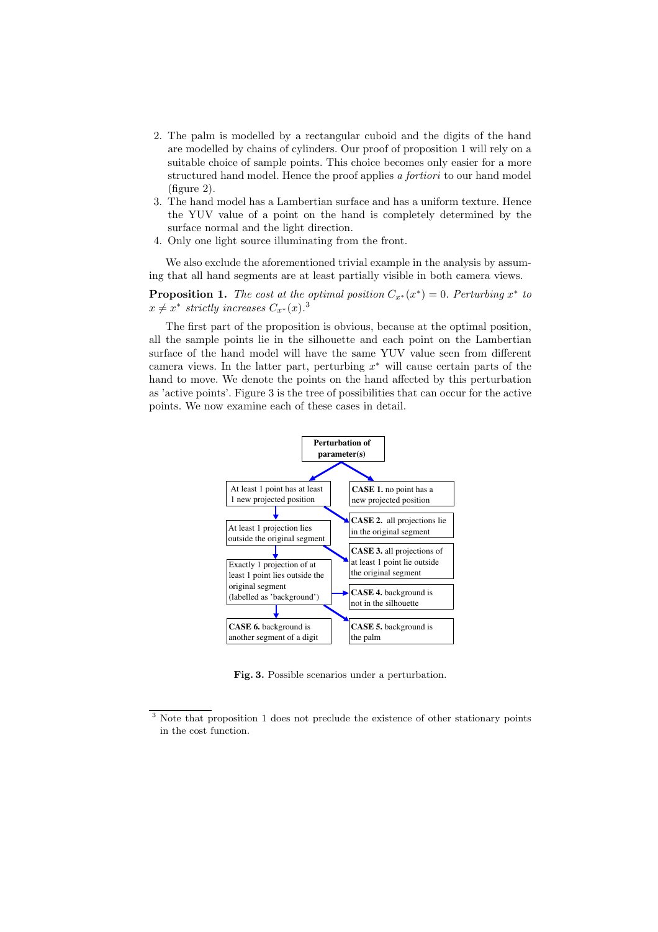- 2. The palm is modelled by a rectangular cuboid and the digits of the hand are modelled by chains of cylinders. Our proof of proposition 1 will rely on a suitable choice of sample points. This choice becomes only easier for a more structured hand model. Hence the proof applies a fortiori to our hand model (figure 2).
- 3. The hand model has a Lambertian surface and has a uniform texture. Hence the YUV value of a point on the hand is completely determined by the surface normal and the light direction.
- 4. Only one light source illuminating from the front.

We also exclude the aforementioned trivial example in the analysis by assuming that all hand segments are at least partially visible in both camera views.

**Proposition 1.** The cost at the optimal position  $C_{x^*}(x^*) = 0$ . Perturbing  $x^*$  to  $x \neq x^*$  strictly increases  $C_{x^*}(x)$ .<sup>3</sup>

The first part of the proposition is obvious, because at the optimal position, all the sample points lie in the silhouette and each point on the Lambertian surface of the hand model will have the same YUV value seen from different camera views. In the latter part, perturbing  $x^*$  will cause certain parts of the hand to move. We denote the points on the hand affected by this perturbation as 'active points'. Figure 3 is the tree of possibilities that can occur for the active points. We now examine each of these cases in detail.



Fig. 3. Possible scenarios under a perturbation.

<sup>&</sup>lt;sup>3</sup> Note that proposition 1 does not preclude the existence of other stationary points in the cost function.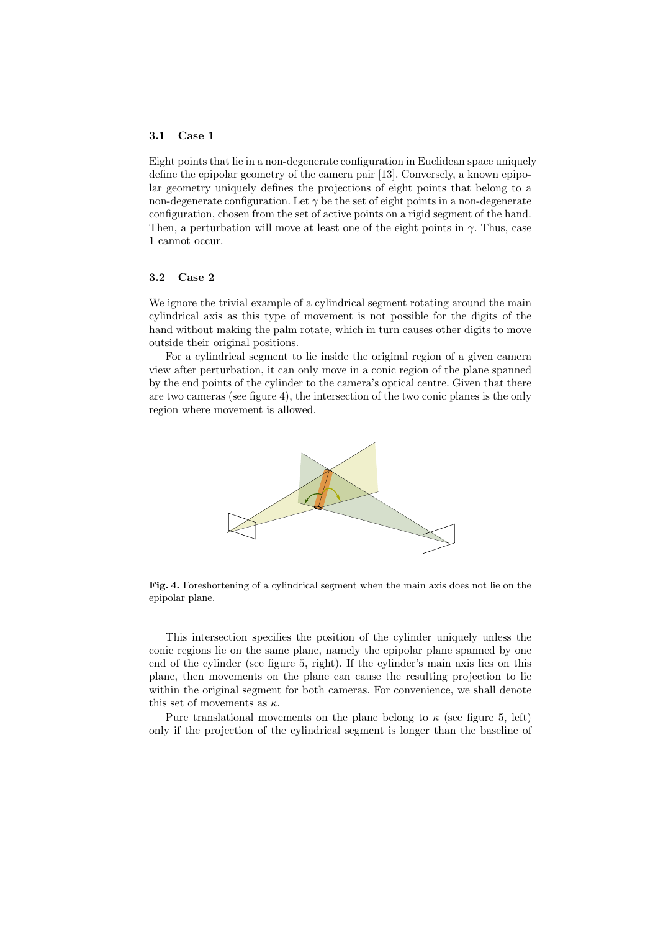#### 3.1 Case 1

Eight points that lie in a non-degenerate configuration in Euclidean space uniquely define the epipolar geometry of the camera pair [13]. Conversely, a known epipolar geometry uniquely defines the projections of eight points that belong to a non-degenerate configuration. Let  $\gamma$  be the set of eight points in a non-degenerate configuration, chosen from the set of active points on a rigid segment of the hand. Then, a perturbation will move at least one of the eight points in  $\gamma$ . Thus, case 1 cannot occur.

## 3.2 Case 2

We ignore the trivial example of a cylindrical segment rotating around the main cylindrical axis as this type of movement is not possible for the digits of the hand without making the palm rotate, which in turn causes other digits to move outside their original positions.

For a cylindrical segment to lie inside the original region of a given camera view after perturbation, it can only move in a conic region of the plane spanned by the end points of the cylinder to the camera's optical centre. Given that there are two cameras (see figure 4), the intersection of the two conic planes is the only region where movement is allowed.



Fig. 4. Foreshortening of a cylindrical segment when the main axis does not lie on the epipolar plane.

This intersection specifies the position of the cylinder uniquely unless the conic regions lie on the same plane, namely the epipolar plane spanned by one end of the cylinder (see figure 5, right). If the cylinder's main axis lies on this plane, then movements on the plane can cause the resulting projection to lie within the original segment for both cameras. For convenience, we shall denote this set of movements as  $\kappa$ .

Pure translational movements on the plane belong to  $\kappa$  (see figure 5, left) only if the projection of the cylindrical segment is longer than the baseline of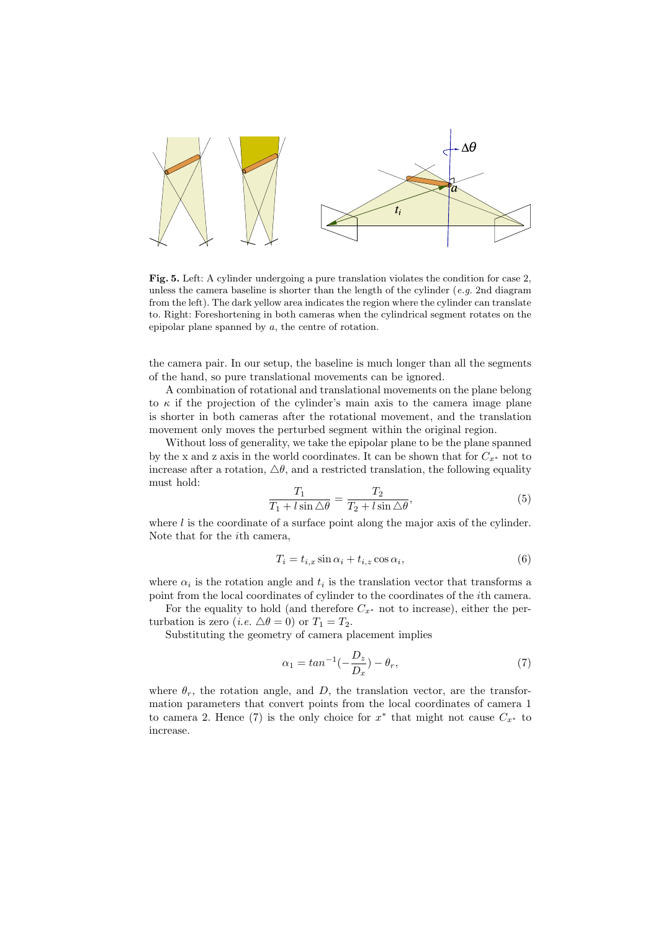

Fig. 5. Left: A cylinder undergoing a pure translation violates the condition for case 2, unless the camera baseline is shorter than the length of the cylinder  $(e.g. 2nd diagram)$ from the left). The dark yellow area indicates the region where the cylinder can translate to. Right: Foreshortening in both cameras when the cylindrical segment rotates on the epipolar plane spanned by a, the centre of rotation.

the camera pair. In our setup, the baseline is much longer than all the segments of the hand, so pure translational movements can be ignored.

A combination of rotational and translational movements on the plane belong to  $\kappa$  if the projection of the cylinder's main axis to the camera image plane is shorter in both cameras after the rotational movement, and the translation movement only moves the perturbed segment within the original region.

Without loss of generality, we take the epipolar plane to be the plane spanned by the x and z axis in the world coordinates. It can be shown that for  $C_{x^*}$  not to increase after a rotation,  $\Delta\theta$ , and a restricted translation, the following equality must hold:

$$
\frac{T_1}{T_1 + l\sin\Delta\theta} = \frac{T_2}{T_2 + l\sin\Delta\theta},\tag{5}
$$

where  $l$  is the coordinate of a surface point along the major axis of the cylinder. Note that for the ith camera,

$$
T_i = t_{i,x} \sin \alpha_i + t_{i,z} \cos \alpha_i, \tag{6}
$$

where  $\alpha_i$  is the rotation angle and  $t_i$  is the translation vector that transforms a point from the local coordinates of cylinder to the coordinates of the ith camera.

For the equality to hold (and therefore  $C_{x^*}$  not to increase), either the perturbation is zero (*i.e.*  $\Delta \theta = 0$ ) or  $T_1 = T_2$ .

Substituting the geometry of camera placement implies

$$
\alpha_1 = \tan^{-1}\left(-\frac{D_z}{D_x}\right) - \theta_r,\tag{7}
$$

where  $\theta_r$ , the rotation angle, and D, the translation vector, are the transformation parameters that convert points from the local coordinates of camera 1 to camera 2. Hence (7) is the only choice for  $x^*$  that might not cause  $C_{x^*}$  to increase.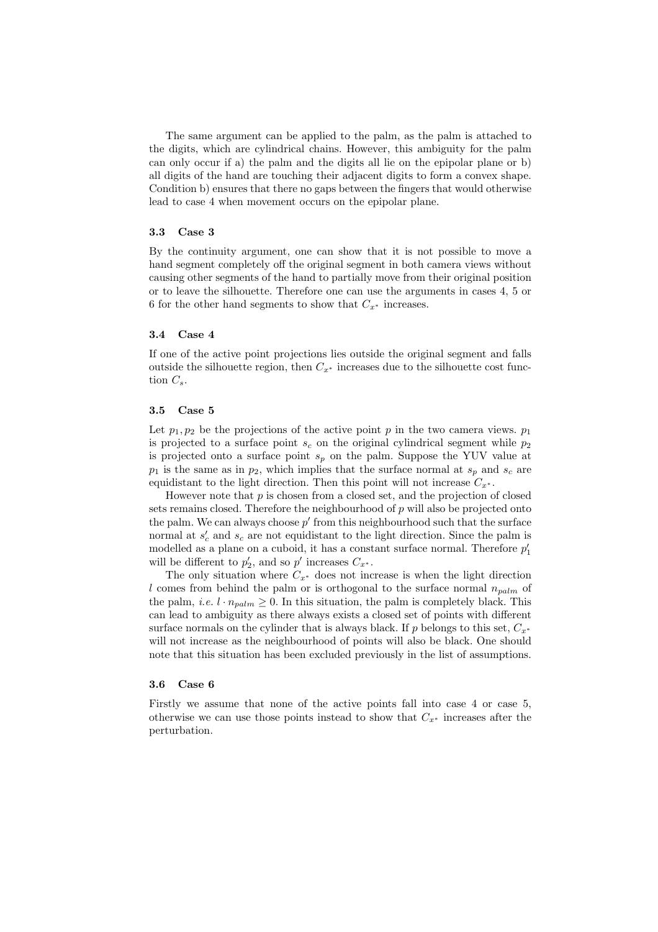The same argument can be applied to the palm, as the palm is attached to the digits, which are cylindrical chains. However, this ambiguity for the palm can only occur if a) the palm and the digits all lie on the epipolar plane or b) all digits of the hand are touching their adjacent digits to form a convex shape. Condition b) ensures that there no gaps between the fingers that would otherwise lead to case 4 when movement occurs on the epipolar plane.

#### 3.3 Case 3

By the continuity argument, one can show that it is not possible to move a hand segment completely off the original segment in both camera views without causing other segments of the hand to partially move from their original position or to leave the silhouette. Therefore one can use the arguments in cases 4, 5 or 6 for the other hand segments to show that  $C_{x^*}$  increases.

#### 3.4 Case 4

If one of the active point projections lies outside the original segment and falls outside the silhouette region, then  $C_{x*}$  increases due to the silhouette cost function  $C_s$ .

#### 3.5 Case 5

Let  $p_1, p_2$  be the projections of the active point p in the two camera views.  $p_1$ is projected to a surface point  $s_c$  on the original cylindrical segment while  $p_2$ is projected onto a surface point  $s_p$  on the palm. Suppose the YUV value at  $p_1$  is the same as in  $p_2$ , which implies that the surface normal at  $s_p$  and  $s_c$  are equidistant to the light direction. Then this point will not increase  $C_{x^*}$ .

However note that  $p$  is chosen from a closed set, and the projection of closed sets remains closed. Therefore the neighbourhood of  $p$  will also be projected onto the palm. We can always choose  $p'$  from this neighbourhood such that the surface normal at  $s'_c$  and  $s_c$  are not equidistant to the light direction. Since the palm is modelled as a plane on a cuboid, it has a constant surface normal. Therefore  $p_1^\prime$ will be different to  $p'_2$ , and so  $p'$  increases  $C_{x^*}$ .

The only situation where  $C_{x^*}$  does not increase is when the light direction l comes from behind the palm or is orthogonal to the surface normal  $n_{\text{adm}}$  of the palm, *i.e.*  $l \cdot n_{palm} \geq 0$ . In this situation, the palm is completely black. This can lead to ambiguity as there always exists a closed set of points with different surface normals on the cylinder that is always black. If p belongs to this set,  $C_{r^*}$ will not increase as the neighbourhood of points will also be black. One should note that this situation has been excluded previously in the list of assumptions.

#### 3.6 Case 6

Firstly we assume that none of the active points fall into case 4 or case 5, otherwise we can use those points instead to show that  $C_{x^*}$  increases after the perturbation.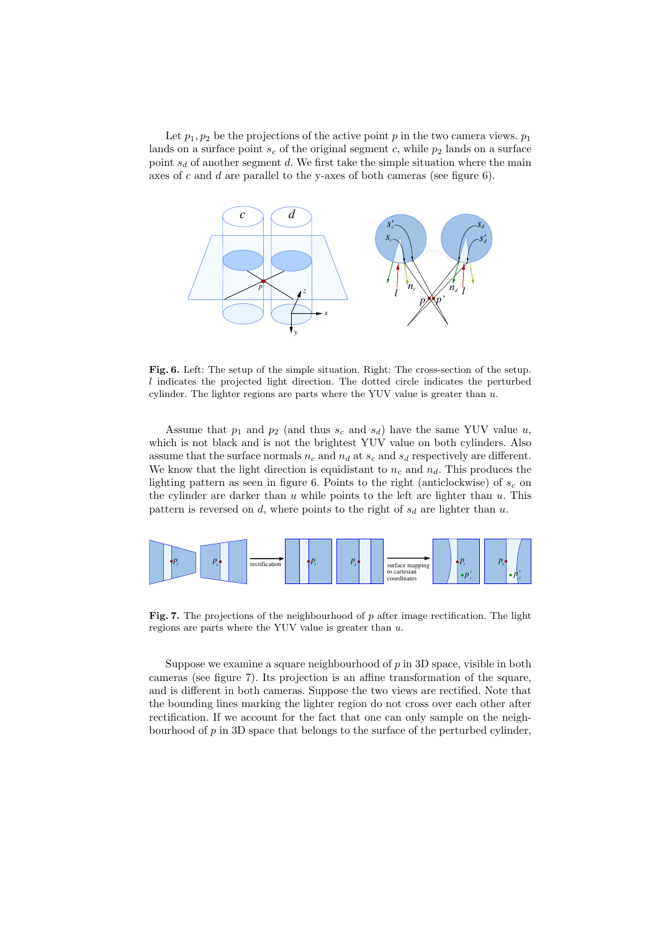Let  $p_1, p_2$  be the projections of the active point p in the two camera views.  $p_1$ lands on a surface point  $s_c$  of the original segment c, while  $p_2$  lands on a surface point  $s_d$  of another segment d. We first take the simple situation where the main axes of c and d are parallel to the y-axes of both cameras (see figure 6).



Fig. 6. Left: The setup of the simple situation. Right: The cross-section of the setup. l indicates the projected light direction. The dotted circle indicates the perturbed cylinder. The lighter regions are parts where the YUV value is greater than  $u$ .

Assume that  $p_1$  and  $p_2$  (and thus  $s_c$  and  $s_d$ ) have the same YUV value u, which is not black and is not the brightest YUV value on both cylinders. Also assume that the surface normals  $n_c$  and  $n_d$  at  $s_c$  and  $s_d$  respectively are different. We know that the light direction is equidistant to  $n_c$  and  $n_d$ . This produces the lighting pattern as seen in figure 6. Points to the right (anticlockwise) of  $s_c$  on the cylinder are darker than  $u$  while points to the left are lighter than  $u$ . This pattern is reversed on  $d$ , where points to the right of  $s_d$  are lighter than  $u$ .



Fig. 7. The projections of the neighbourhood of  $p$  after image rectification. The light regions are parts where the YUV value is greater than  $u$ .

Suppose we examine a square neighbourhood of  $p$  in 3D space, visible in both cameras (see figure 7). Its projection is an affine transformation of the square, and is different in both cameras. Suppose the two views are rectified. Note that the bounding lines marking the lighter region do not cross over each other after rectification. If we account for the fact that one can only sample on the neighbourhood of  $p$  in 3D space that belongs to the surface of the perturbed cylinder,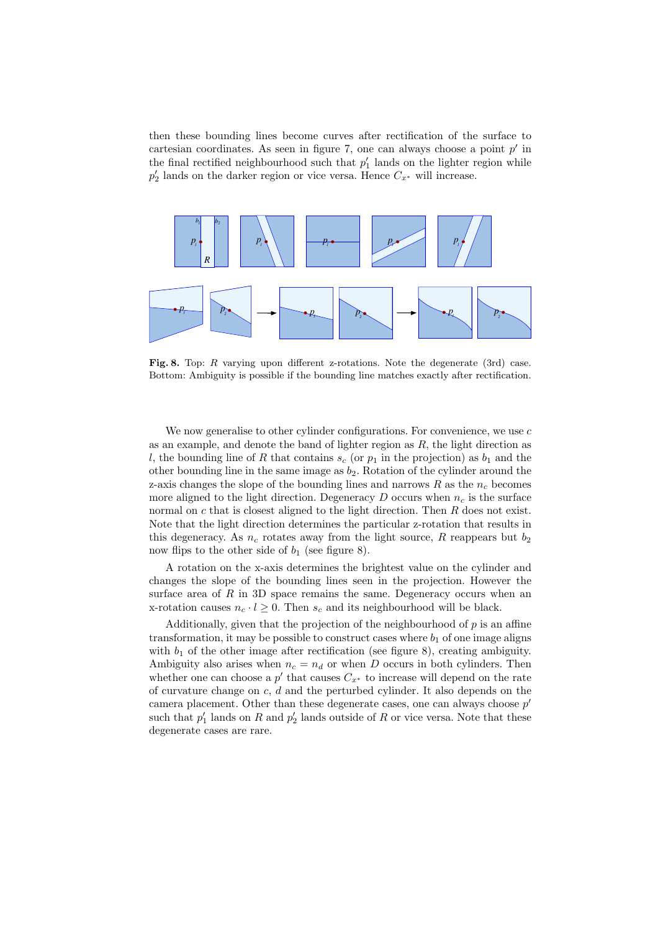then these bounding lines become curves after rectification of the surface to cartesian coordinates. As seen in figure 7, one can always choose a point  $p'$  in the final rectified neighbourhood such that  $p'_1$  lands on the lighter region while  $p'_2$  lands on the darker region or vice versa. Hence  $C_{x^*}$  will increase.



Fig. 8. Top:  $R$  varying upon different z-rotations. Note the degenerate (3rd) case. Bottom: Ambiguity is possible if the bounding line matches exactly after rectification.

We now generalise to other cylinder configurations. For convenience, we use  $c$ as an example, and denote the band of lighter region as  $R$ , the light direction as l, the bounding line of R that contains  $s_c$  (or  $p_1$  in the projection) as  $b_1$  and the other bounding line in the same image as  $b_2$ . Rotation of the cylinder around the z-axis changes the slope of the bounding lines and narrows  $R$  as the  $n_c$  becomes more aligned to the light direction. Degeneracy  $D$  occurs when  $n_c$  is the surface normal on  $c$  that is closest aligned to the light direction. Then  $R$  does not exist. Note that the light direction determines the particular z-rotation that results in this degeneracy. As  $n_c$  rotates away from the light source, R reappears but  $b_2$ now flips to the other side of  $b_1$  (see figure 8).

A rotation on the x-axis determines the brightest value on the cylinder and changes the slope of the bounding lines seen in the projection. However the surface area of  $R$  in 3D space remains the same. Degeneracy occurs when an x-rotation causes  $n_c \cdot l \geq 0$ . Then  $s_c$  and its neighbourhood will be black.

Additionally, given that the projection of the neighbourhood of  $p$  is an affine transformation, it may be possible to construct cases where  $b_1$  of one image aligns with  $b_1$  of the other image after rectification (see figure 8), creating ambiguity. Ambiguity also arises when  $n_c = n_d$  or when D occurs in both cylinders. Then whether one can choose a  $p'$  that causes  $C_{x^*}$  to increase will depend on the rate of curvature change on  $c, d$  and the perturbed cylinder. It also depends on the camera placement. Other than these degenerate cases, one can always choose  $p'$ such that  $p'_1$  lands on R and  $p'_2$  lands outside of R or vice versa. Note that these degenerate cases are rare.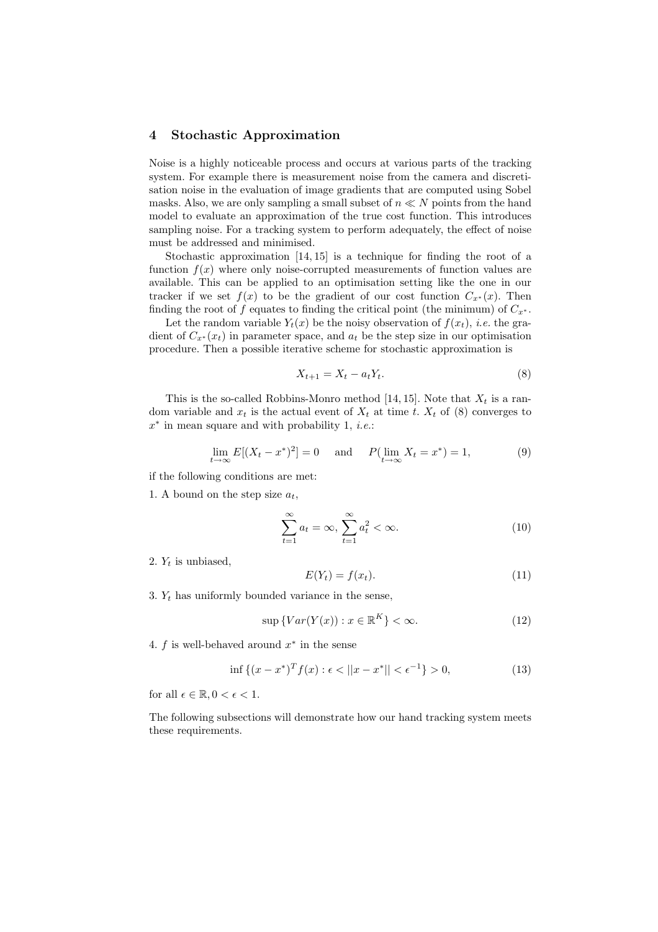## 4 Stochastic Approximation

Noise is a highly noticeable process and occurs at various parts of the tracking system. For example there is measurement noise from the camera and discretisation noise in the evaluation of image gradients that are computed using Sobel masks. Also, we are only sampling a small subset of  $n \ll N$  points from the hand model to evaluate an approximation of the true cost function. This introduces sampling noise. For a tracking system to perform adequately, the effect of noise must be addressed and minimised.

Stochastic approximation [14, 15] is a technique for finding the root of a function  $f(x)$  where only noise-corrupted measurements of function values are available. This can be applied to an optimisation setting like the one in our tracker if we set  $f(x)$  to be the gradient of our cost function  $C_{x^*}(x)$ . Then finding the root of f equates to finding the critical point (the minimum) of  $C_{x^*}$ .

Let the random variable  $Y_t(x)$  be the noisy observation of  $f(x_t)$ , *i.e.* the gradient of  $C_{x^*}(x_t)$  in parameter space, and  $a_t$  be the step size in our optimisation procedure. Then a possible iterative scheme for stochastic approximation is

$$
X_{t+1} = X_t - a_t Y_t. \tag{8}
$$

This is the so-called Robbins-Monro method [14, 15]. Note that  $X_t$  is a random variable and  $x_t$  is the actual event of  $X_t$  at time t.  $X_t$  of (8) converges to  $x^*$  in mean square and with probability 1, *i.e.*:

$$
\lim_{t \to \infty} E[(X_t - x^*)^2] = 0 \quad \text{and} \quad P(\lim_{t \to \infty} X_t = x^*) = 1,
$$
 (9)

if the following conditions are met:

1. A bound on the step size  $a_t$ ,

$$
\sum_{t=1}^{\infty} a_t = \infty, \sum_{t=1}^{\infty} a_t^2 < \infty.
$$
 (10)

2.  $Y_t$  is unbiased,

$$
E(Y_t) = f(x_t). \tag{11}
$$

3.  $Y_t$  has uniformly bounded variance in the sense,

$$
\sup \{ Var(Y(x)) : x \in \mathbb{R}^K \} < \infty. \tag{12}
$$

4.  $f$  is well-behaved around  $x^*$  in the sense

$$
\inf \left\{ (x - x^*)^T f(x) : \epsilon < ||x - x^*|| < \epsilon^{-1} \right\} > 0,
$$
\n(13)

for all  $\epsilon \in \mathbb{R}, 0 < \epsilon < 1$ .

The following subsections will demonstrate how our hand tracking system meets these requirements.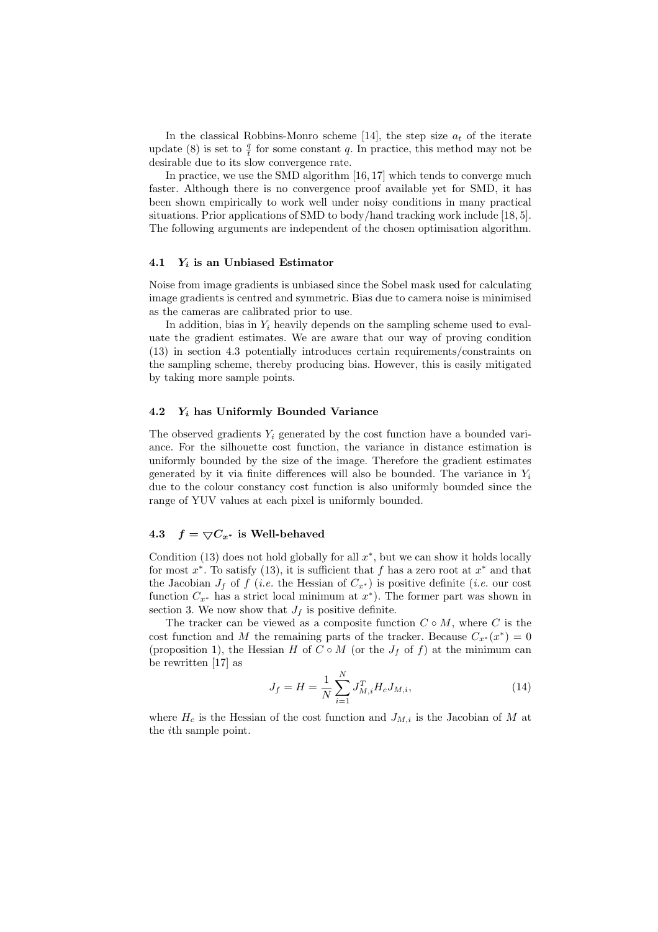In the classical Robbins-Monro scheme [14], the step size  $a_t$  of the iterate update (8) is set to  $\frac{q}{t}$  for some constant q. In practice, this method may not be desirable due to its slow convergence rate.

In practice, we use the SMD algorithm [16, 17] which tends to converge much faster. Although there is no convergence proof available yet for SMD, it has been shown empirically to work well under noisy conditions in many practical situations. Prior applications of SMD to body/hand tracking work include [18, 5]. The following arguments are independent of the chosen optimisation algorithm.

#### 4.1  $Y_i$  is an Unbiased Estimator

Noise from image gradients is unbiased since the Sobel mask used for calculating image gradients is centred and symmetric. Bias due to camera noise is minimised as the cameras are calibrated prior to use.

In addition, bias in  $Y_i$  heavily depends on the sampling scheme used to evaluate the gradient estimates. We are aware that our way of proving condition (13) in section 4.3 potentially introduces certain requirements/constraints on the sampling scheme, thereby producing bias. However, this is easily mitigated by taking more sample points.

## 4.2  $Y_i$  has Uniformly Bounded Variance

The observed gradients  $Y_i$  generated by the cost function have a bounded variance. For the silhouette cost function, the variance in distance estimation is uniformly bounded by the size of the image. Therefore the gradient estimates generated by it via finite differences will also be bounded. The variance in  $Y_i$ due to the colour constancy cost function is also uniformly bounded since the range of YUV values at each pixel is uniformly bounded.

#### 4.3  $f = \nabla C_{x^*}$  is Well-behaved

Condition (13) does not hold globally for all  $x^*$ , but we can show it holds locally for most  $x^*$ . To satisfy (13), it is sufficient that f has a zero root at  $x^*$  and that the Jacobian  $J_f$  of f (i.e. the Hessian of  $C_{x^*}$ ) is positive definite (i.e. our cost function  $C_{x^*}$  has a strict local minimum at  $x^*$ ). The former part was shown in section 3. We now show that  $J_f$  is positive definite.

The tracker can be viewed as a composite function  $C \circ M$ , where C is the cost function and M the remaining parts of the tracker. Because  $C_{x^*}(x^*)=0$ (proposition 1), the Hessian H of  $C \circ M$  (or the  $J_f$  of f) at the minimum can be rewritten [17] as

$$
J_f = H = \frac{1}{N} \sum_{i=1}^{N} J_{M,i}^T H_c J_{M,i},
$$
\n(14)

where  $H_c$  is the Hessian of the cost function and  $J_{M,i}$  is the Jacobian of M at the ith sample point.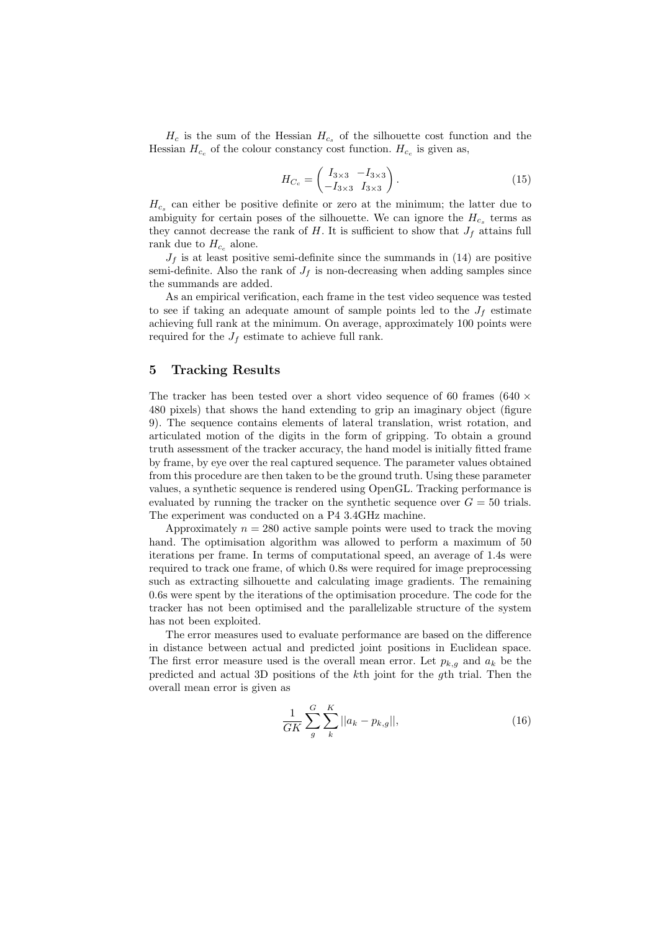$H_c$  is the sum of the Hessian  $H_{c_s}$  of the silhouette cost function and the Hessian  $H_{c_c}$  of the colour constancy cost function.  $H_{c_c}$  is given as,

$$
H_{C_c} = \begin{pmatrix} I_{3\times 3} & -I_{3\times 3} \\ -I_{3\times 3} & I_{3\times 3} \end{pmatrix}.
$$
 (15)

 $H_{c_s}$  can either be positive definite or zero at the minimum; the latter due to ambiguity for certain poses of the silhouette. We can ignore the  $H_{c_s}$  terms as they cannot decrease the rank of  $H$ . It is sufficient to show that  $J_f$  attains full rank due to  $H_{c_c}$  alone.

 $J_f$  is at least positive semi-definite since the summands in (14) are positive semi-definite. Also the rank of  $J_f$  is non-decreasing when adding samples since the summands are added.

As an empirical verification, each frame in the test video sequence was tested to see if taking an adequate amount of sample points led to the  $J_f$  estimate achieving full rank at the minimum. On average, approximately 100 points were required for the  $J_f$  estimate to achieve full rank.

## 5 Tracking Results

The tracker has been tested over a short video sequence of 60 frames (640  $\times$ 480 pixels) that shows the hand extending to grip an imaginary object (figure 9). The sequence contains elements of lateral translation, wrist rotation, and articulated motion of the digits in the form of gripping. To obtain a ground truth assessment of the tracker accuracy, the hand model is initially fitted frame by frame, by eye over the real captured sequence. The parameter values obtained from this procedure are then taken to be the ground truth. Using these parameter values, a synthetic sequence is rendered using OpenGL. Tracking performance is evaluated by running the tracker on the synthetic sequence over  $G = 50$  trials. The experiment was conducted on a P4 3.4GHz machine.

Approximately  $n = 280$  active sample points were used to track the moving hand. The optimisation algorithm was allowed to perform a maximum of 50 iterations per frame. In terms of computational speed, an average of 1.4s were required to track one frame, of which 0.8s were required for image preprocessing such as extracting silhouette and calculating image gradients. The remaining 0.6s were spent by the iterations of the optimisation procedure. The code for the tracker has not been optimised and the parallelizable structure of the system has not been exploited.

The error measures used to evaluate performance are based on the difference in distance between actual and predicted joint positions in Euclidean space. The first error measure used is the overall mean error. Let  $p_{k,g}$  and  $a_k$  be the predicted and actual 3D positions of the kth joint for the gth trial. Then the overall mean error is given as

$$
\frac{1}{GK} \sum_{g}^{G} \sum_{k}^{K} ||a_k - p_{k,g}||, \tag{16}
$$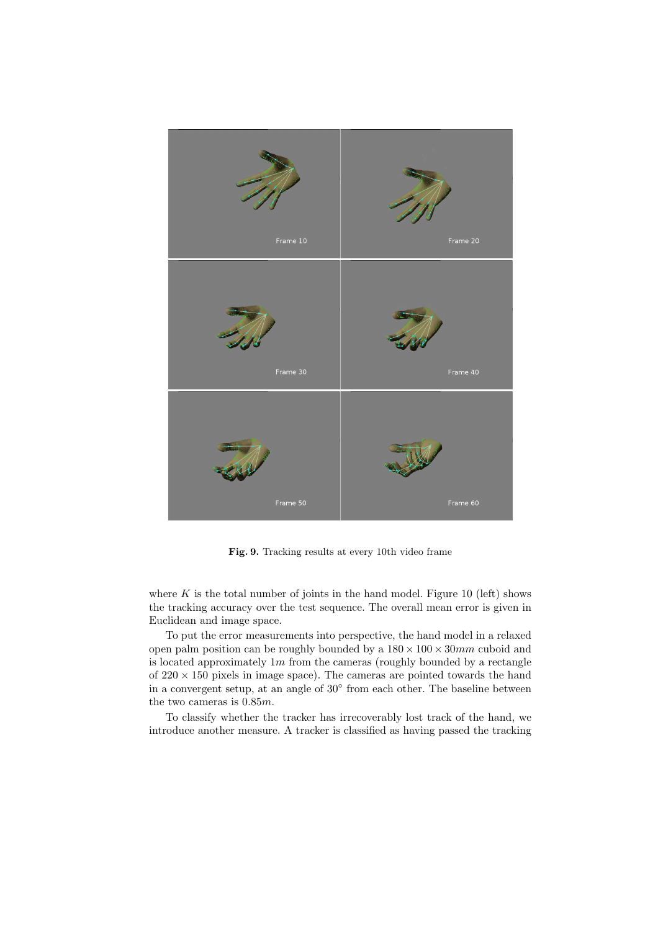

Fig. 9. Tracking results at every 10th video frame

where  $K$  is the total number of joints in the hand model. Figure 10 (left) shows the tracking accuracy over the test sequence. The overall mean error is given in Euclidean and image space.

To put the error measurements into perspective, the hand model in a relaxed open palm position can be roughly bounded by a  $180 \times 100 \times 30$  mm cuboid and is located approximately  $1m$  from the cameras (roughly bounded by a rectangle of  $220 \times 150$  pixels in image space). The cameras are pointed towards the hand in a convergent setup, at an angle of 30<sup>°</sup> from each other. The baseline between the two cameras is 0.85m.

To classify whether the tracker has irrecoverably lost track of the hand, we introduce another measure. A tracker is classified as having passed the tracking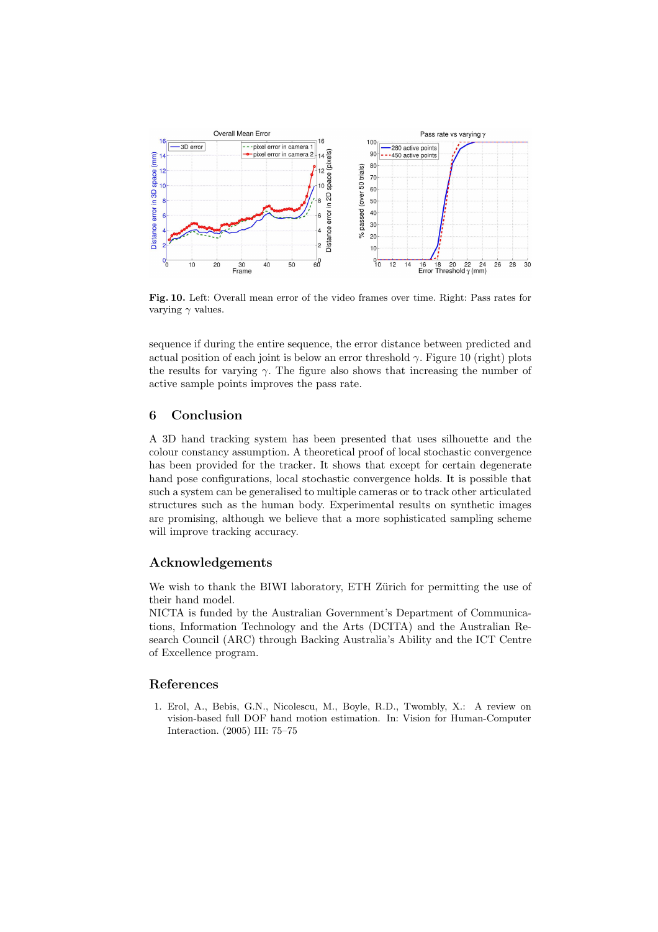

Fig. 10. Left: Overall mean error of the video frames over time. Right: Pass rates for varying  $\gamma$  values.

sequence if during the entire sequence, the error distance between predicted and actual position of each joint is below an error threshold  $\gamma$ . Figure 10 (right) plots the results for varying  $\gamma$ . The figure also shows that increasing the number of active sample points improves the pass rate.

# 6 Conclusion

A 3D hand tracking system has been presented that uses silhouette and the colour constancy assumption. A theoretical proof of local stochastic convergence has been provided for the tracker. It shows that except for certain degenerate hand pose configurations, local stochastic convergence holds. It is possible that such a system can be generalised to multiple cameras or to track other articulated structures such as the human body. Experimental results on synthetic images are promising, although we believe that a more sophisticated sampling scheme will improve tracking accuracy.

# Acknowledgements

We wish to thank the BIWI laboratory, ETH Zürich for permitting the use of their hand model.

NICTA is funded by the Australian Government's Department of Communications, Information Technology and the Arts (DCITA) and the Australian Research Council (ARC) through Backing Australia's Ability and the ICT Centre of Excellence program.

# References

1. Erol, A., Bebis, G.N., Nicolescu, M., Boyle, R.D., Twombly, X.: A review on vision-based full DOF hand motion estimation. In: Vision for Human-Computer Interaction. (2005) III: 75–75